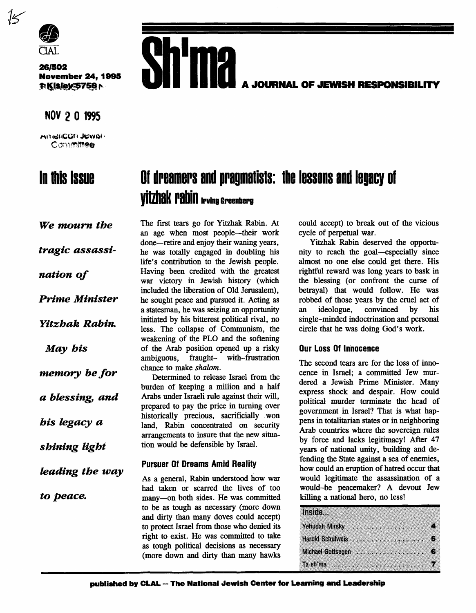

*261502*  **November 24,1995 P.Kisley<5756** 

### NOV 2 0 1995

AmeliCOM JEWSI-Committee

## In this issue



# **Of dreamers and pragmatists: the lessons and legacy of Vitzhak Pabin From Greenberg**

*We mourn the* 

*tragic assassi-*

*nation of* 

*Pn'me Minister* 

*Yitzhak Rabin.* 

*May his* 

*memory be for* 

*a blessing, and* 

*his kgacy a* 

*shining tight* 

*leading the way* 

The first tears go for Yitzhak Rabin. At an age when most people-their work done-retire and enjoy their waning years, he **was** totally engaged in doubling his life's contribution to the Jewish people. Having been credited with the greatest war victory in Jewish history (which included the liberation of Old Jerusalem), he sought peace and pursued it. Acting as a statesman, he was seizing **an** opportunity initiated by his bitterest political rival, no less. The collapse of Communism, the weakening of the PLO and the softening of the Arab position opened up a risky ambiguous, fraught- with-frustration chance to make shalom.

Determined to release Israel from the burden of keeping a million and a half Arabs under Israeli rule against their will, prepared to pay the price in **turning** over historically precious, sacrificially won land, Rabin concentrated on security arrangements to insure that the new situa**tion** would be defensible by Israel.

#### **Pursuer Of Dreams Amid Reality**

As a general, Rabin understood how war had taken or scarred the lives of too to peace. many-on both sides. He was committed killing a national hero, no less! to be **as** tough **as** necessary (more down and dirty than many doves could accept) to protect Israel from those who denied its right to exist. He was committed to take **as** tough political decisions as necessary (more down and dirty than many hawks

could accept) to break out of the vicious cycle of perpetual war.

Yitzhak Rabin deserved the opportu**nity** to reach the goal-especially since almost no one else could get there. His rightful reward was long **years** to bask in the blessing (or confront the curse of betrayal) that would follow. He was robbed of those years by the cruel act of<br>an ideologue, convinced by his an ideologue, convinced by his single-minded indoctrination and personal circle that he was doing God's work.

#### **Our Loss Of Innocence**

The second tears are for the loss of innocence in Israel; **a** committed Jew murdered a Jewish Prime Minister. Many express shock and despair. How could political murder terminate the head of government in Israel? That is what happens in totalitarian states or in neighboring Arab countries where the sovereign rules by force and lacks legitimacy! After **47**  years of national unity, building and defending the **State** against a sea of enemies, how could an eruption of hatred occur that would legitimate the **assassination** of a would-be peacemaker? A devout Jew

| Inside |                                                                                                                                                                                                                                                                                                                                         |  |
|--------|-----------------------------------------------------------------------------------------------------------------------------------------------------------------------------------------------------------------------------------------------------------------------------------------------------------------------------------------|--|
|        | Yehudah Mirsky Marshall Marshall 4                                                                                                                                                                                                                                                                                                      |  |
|        |                                                                                                                                                                                                                                                                                                                                         |  |
|        |                                                                                                                                                                                                                                                                                                                                         |  |
|        | Ta sh'ma $\ldots$ $\ldots$ $\ldots$ $\ldots$ $\ldots$ $\ldots$ $\ldots$ $\ldots$ $\ldots$ $\ldots$ $\ldots$ $\ldots$ $\ldots$ $\ldots$ $\ldots$ $\ldots$ $\ldots$ $\ldots$ $\ldots$ $\ldots$ $\ldots$ $\ldots$ $\ldots$ $\ldots$ $\ldots$ $\ldots$ $\ldots$ $\ldots$ $\ldots$ $\ldots$ $\ldots$ $\ldots$ $\ldots$ $\ldots$ $\ldots$ $\$ |  |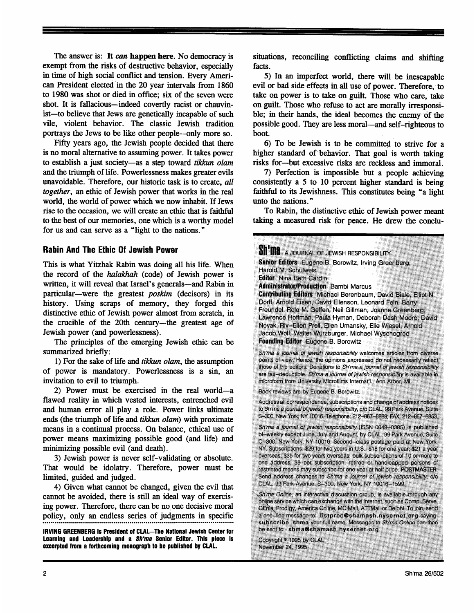The answer is: It can happen here. No democracy is exempt from the risks of destructive behavior, especially in time of high social conflict and tension. Every Ameri*can* President elected in the 20 year intervals from 1860 to 1980 was shot or died in office; **six** of the seven were shot. It is fallacious—indeed covertly racist or chauvinist-to believe that Jews are genetically incapable of such vile, violent behavior. The classic Jewish tradition portrays the Jews to be like other people--only more so.

Fifty years ago, the Jewish people decided that there is no moral alternative to assuming power. It takes power to establish a just society-as a **step** toward *tikkun olam*  and the triumph of life. Powerlessness makes greater evils unavoidable. Therefore, our historic **task** is to create, *all*  together, an ethic of Jewish power that works in the real world, the world of power which we now inhabit. If Jews rise to the occasion, we will create an ethic that is faithful to the best of our memories, one which is a worthy model for us and can serve as a "light to the nations."

#### **Rabin And The Ethic Of Jewish Power**

This is what Yitzhak Rabin was doing **all** his life. When the record of the *halakhah* (code) of Jewish power is written, it will reveal that Israel's generals—and Rabin in particular-were the greatest *poskim* (decisors) in its history. Using scraps of memory, they forged this distinctive ethic of Jewish power almost from scratch, in the crucible of the 20th century-the greatest age of Jewish power (and powerlessness).

The principles of the emerging Jewish ethic can be summarized briefly:

1) For the sake of life and *tikkun olam,* the assumption of power is mandatory. Powerlessness is a **sin,** an invitation to evil to triumph.

2) Power must be exercised in the real world-a flawed reality in which vested interests, entrenched evil and human error all play a role. Power links ultimate ends (the triumph of life and *tikkun olam*) with proximate means in a continual process. **On** balance, ethical use of power means maximizing possible good (and life) and minimizing possible evil (and death).

3) Jewish power is never self-validating or absolute. That would be idolatry. Therefore, power must be limited, guided and judged.

**4)** Given what cannot be changed, given the evil that cannot be avoided, there is still an ideal way of exercising power. Therefore, there can be no one decisive moral policy, only an endless series of judgments in specific .................................................................................................

**IRVING GREENBERG is President of CLAL-The National Jewish Center for Learning and Leadership and a** *Wma* **Senior Editor. This piece is**  excerpted from a forthcoming monograph to be published by CLAL.

situations, reconciling conflicting claims and shifting facts.

*5)* In an imperfect world, there will be inescapable evil or bad side effects in all use of power. Therefore, to take on power is to take on guilt. Those who care, take on guilt. Those who refuse to act are morally irresponsible; in their hands, the ideal becomes the enemy of the possible good. They are less moral-and self-righteous to boot.

6) To be Jewish is to be committed to strive for a higher standard of behavior. That goal is worth taking risks for-but excessive risks are reckless and immoral.

7) Perfection is impossible but a people achieving consistently a *5* to 10 percent higher standard is being faithful to its Jewishness. **This** constitutes being "a light unto the nations."

To Rabin, the distinctive ethic of Jewish power meant taking a measured risk for peace. He drew the conclu-

| <b>Sh'ina</b> a journal of Jewish Responsibility<br>Senior Editors Eugene B. Borowitz, Irving Greenberg,<br>Harold M. Schulweis<br><b>Editor</b> Nina Beth Cardin<br><b>Administrator/Production</b> Bambi Marcus<br>Contributing Editors Michael Berenbaum, David Biale, Elliot N.<br>Dorff, Arnold Eisen, David Ellenson, Leonard Fein, Barry<br>Freundel, Rela M. Geffen, Neil Gillman, Joanne Greenberg,<br>Lawrence Hoffman, Paula Hyman, Deborah Dash Moore, David                                                                                                                                                                                                 |
|--------------------------------------------------------------------------------------------------------------------------------------------------------------------------------------------------------------------------------------------------------------------------------------------------------------------------------------------------------------------------------------------------------------------------------------------------------------------------------------------------------------------------------------------------------------------------------------------------------------------------------------------------------------------------|
| Novak, Riv-Ellen Prell, Ellen Umansky, Elie Wiesel, Arnold<br>Jacob Wolf, Walter Wurzburger, Michael Wyschogrod<br><b>Founding Editor Eugene B. Borowitz</b>                                                                                                                                                                                                                                                                                                                                                                                                                                                                                                             |
| Sh'ma a journal of jewish responsibility welcomes articles from diverse<br>points of view. Hence, the opinions expressed do not necessarily reflect<br>those of the editors. Donations to Sh'ma a journal of jewish responsibility<br>are tax-deductible. Sh'ma a journal of jewish responsibility is available in<br>microform from University Microfilms Internat'l., Ann Arbor, MI.                                                                                                                                                                                                                                                                                   |
| Book reviews are by Eugene B. Borowitz.                                                                                                                                                                                                                                                                                                                                                                                                                                                                                                                                                                                                                                  |
| Address all correspondence, subscriptions and change of address notices<br>to Sh'ma a journal of jewish responsibility, c/o CLAL, 99 Park Avenue, Suite<br>S-300, New York, NY 10016. Telephone: 212-867-8888; FAX: 212-867-8853,                                                                                                                                                                                                                                                                                                                                                                                                                                        |
| Sh'ma a journal of jewish responsibility (ISSN 0049-0385) is published<br>bi-weekly except June, July and August, by CLAL, 99 Park Avenue, Suite<br>C-300, New York, NY 10016. Second-class postage paid at New York,<br>NY. Subscriptions: \$29 for two years in U.S.; \$18 for one year; \$21 a year<br>overseas; \$35 for two years overseas; bulk subscriptions of 10 or more to<br>one address, \$9 per subscription; retired or handicapped persons of<br>restricted means may subscribe for one year at half price. POSTMASTER:<br>Send address changes to Sh'ma a journal of jewish responsibility, c/o<br>CLAL, 99 Park Avenue, S-300, New York, NY 10016-1599. |
| Sh'ma Online, an interactive discussion group, is available through any<br>online service which can exchange with the Internet, such as CompuServe,<br>GEnie, Prodigy, America Online, MCIMail, ATTMail or Delphi. To join, send<br>a one-line message to: listproc@shamash.nysernet.org saying:<br>subscribe shma your full name. Messages to Sh'ma Online can then<br>be sent to: shma@shamash.nysernet.org                                                                                                                                                                                                                                                            |
| Copyright <sup>®</sup> 1995 by CLAL<br>November 24, 1995                                                                                                                                                                                                                                                                                                                                                                                                                                                                                                                                                                                                                 |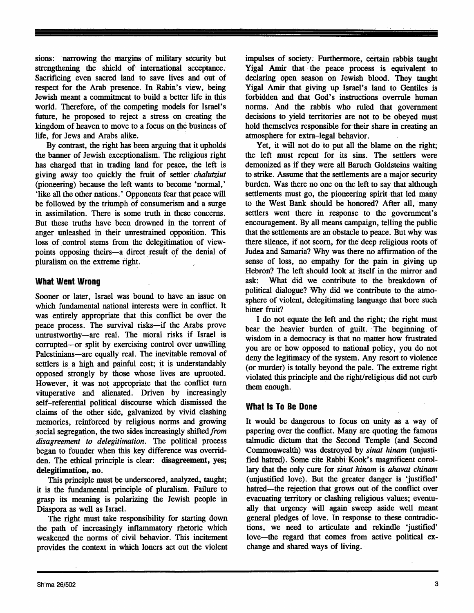sions: narrowing the margins *of* military security but strengthening the shield of international acceptance. Sacrificing even sacred land to save lives and out of respect for the Arab presence. In Rabin's view, being Jewish meant a commitment to build a better life in this world. Therefore, of the competing models for Israel's future, he proposed to reject a stress on creating the kingdom of heaven to move to a focus on the business of life, for Jews and Arabs alike.

By contrast, the right has been arguing that it upholds the banner of Jewish exceptionalism. The religious right has charged that in trading land for peace, the left is giving away too quickly the fruit of settler *chalutziut*  (pioneering) because the left wants to become 'normal,' 'like all the other nations. ' Opponents fear that peace will be followed by the triumph of consumerism and a surge in assimilation. There is some truth in these concerns. But these truths have been drowned in the torrent of anger unleashed in their unrestrained opposition. This loss of control stems from the delegitimation of viewpoints opposing theirs-a direct result of the denial of pluralism on the extreme right.

#### **What Went Wrong**

Sooner or later, Israel was bound to have **an** issue on which fundamental national interests were in conflict. It was entirely appropriate that **this** conflict be over the peace process. The survival risks-if the Arabs prove untrustworthy-are real. The moral risks if Israel is corrupted-or split by exercising control over unwilling Palestinians-are equally real. The inevitable removal of settlers is a high and painful cost; it is understandably opposed strongly by those whose lives are uprooted. However, it was not appropriate that the conflict turn vituperative and alienated. Driven by increasingly self-referential political discourse which dismissed the claims of the other side, galvanized by vivid clashing memories, reinforced by religious norms and growing social segregation, the two sides increasingly shifted from *disagreement* to *delegitimution.* The political process began to founder when this key difference was overridden. The ethical principle is clear: **disagreement, yes; delegitimation, no.** 

This principle must be underscored, analyzed, taught; it is the fundamental principle of pluralism. Failure to grasp its meaning is polarizing the Jewish people in Diaspora **as** well as Israel.

The right must take responsibility for starting down the path of increasingly inflammatory rhetoric which weakened the norms of civil behavior. This incitement provides the context in which loners act out the violent impulses of society; Furthermore, certain rabbis taught Yigal *Amir* that the peace process is equivalent to declaring open season on Jewish blood. They taught Yigal *Amir* that giving up Israel's land to Gentiles is forbidden and that God's instructions overrule human norms. And the rabbis who ruled that government decisions to yield territories are not to be obeyed must hold themselves responsible for their share in creating an atmosphere for extra-legal behavior.

Yet, it will not do to put all the blame on the right; the left must repent for its sins. The settlers were demonized **as** if they were all Baruch Goldsteins waiting to strike. Assume that the settlements are a major security burden. **Was** there no one on the left to say that although settlements must go, the pioneering spirit that led many to the West Bank should be honored? After all, many settlers went there in response to the government's encouragement. By all means campaign, telling the public that the settlements are an obstacle to peace. But why was there silence, if not scorn, for the deep religious roots of Judea and Samaria? Why was there no affirmation of the sense of loss, no empathy for the pain in giving up Hebron? The left should look at itself in the **mirror** and ask: What did we contribute to the breakdown of political dialogue? Why did we contribute to the atmosphere of violent, delegitimating language that bore such bitter fruit?

I do not equate the left and the right; the right must bear the heavier burden of guilt. The beginning of wisdom in a democracy is that no matter how frustrated you are or how opposed to national policy, you do not deny the legitimacy of the system. Any resort to violence (or murder) is totally beyond the pale. The extreme right violated this principle and the right/religious did not curb them enough.

#### **What Is To Be Done**

It would be dangerous to focus on **unity** as a way of papering over the conflict. Many are quoting the famous talmudic dictum that the Second Temple (and Second Commonwealth) was destroyed by *sinat hinam* (unjustified hatred). Some cite Rabbi **Kook's** magnificent corollary that the only cure for *sinat hinam* is *ahavat chinam* (unjustified love). But the greater danger is 'justified' hatred-the rejection that grows out of the conflict over evacuating territory or clashing religious values; eventually that urgency will again sweep aside well meant general pledges of love. In response to these contradictions, we need to articulate and rekindle 'justified' love-the regard that comes from active political exchange and shared ways of living.